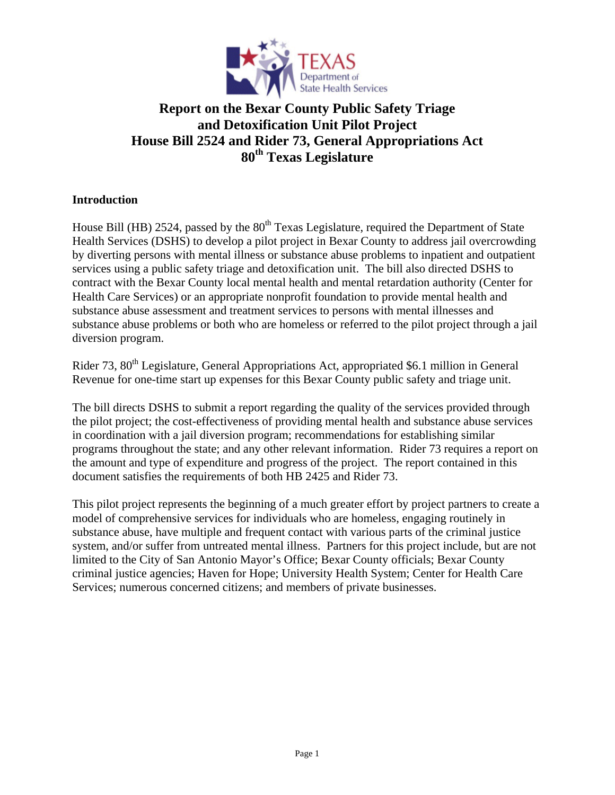

# **Report on the Bexar County Public Safety Triage and Detoxification Unit Pilot Project House Bill 2524 and Rider 73, General Appropriations Act 80th Texas Legislature**

### **Introduction**

House Bill (HB) 2524, passed by the 80<sup>th</sup> Texas Legislature, required the Department of State Health Services (DSHS) to develop a pilot project in Bexar County to address jail overcrowding by diverting persons with mental illness or substance abuse problems to inpatient and outpatient services using a public safety triage and detoxification unit. The bill also directed DSHS to contract with the Bexar County local mental health and mental retardation authority (Center for Health Care Services) or an appropriate nonprofit foundation to provide mental health and substance abuse assessment and treatment services to persons with mental illnesses and substance abuse problems or both who are homeless or referred to the pilot project through a jail diversion program.

Rider 73, 80<sup>th</sup> Legislature, General Appropriations Act, appropriated \$6.1 million in General Revenue for one-time start up expenses for this Bexar County public safety and triage unit.

The bill directs DSHS to submit a report regarding the quality of the services provided through the pilot project; the cost-effectiveness of providing mental health and substance abuse services in coordination with a jail diversion program; recommendations for establishing similar programs throughout the state; and any other relevant information. Rider 73 requires a report on the amount and type of expenditure and progress of the project. The report contained in this document satisfies the requirements of both HB 2425 and Rider 73.

This pilot project represents the beginning of a much greater effort by project partners to create a model of comprehensive services for individuals who are homeless, engaging routinely in substance abuse, have multiple and frequent contact with various parts of the criminal justice system, and/or suffer from untreated mental illness. Partners for this project include, but are not limited to the City of San Antonio Mayor's Office; Bexar County officials; Bexar County criminal justice agencies; Haven for Hope; University Health System; Center for Health Care Services; numerous concerned citizens; and members of private businesses.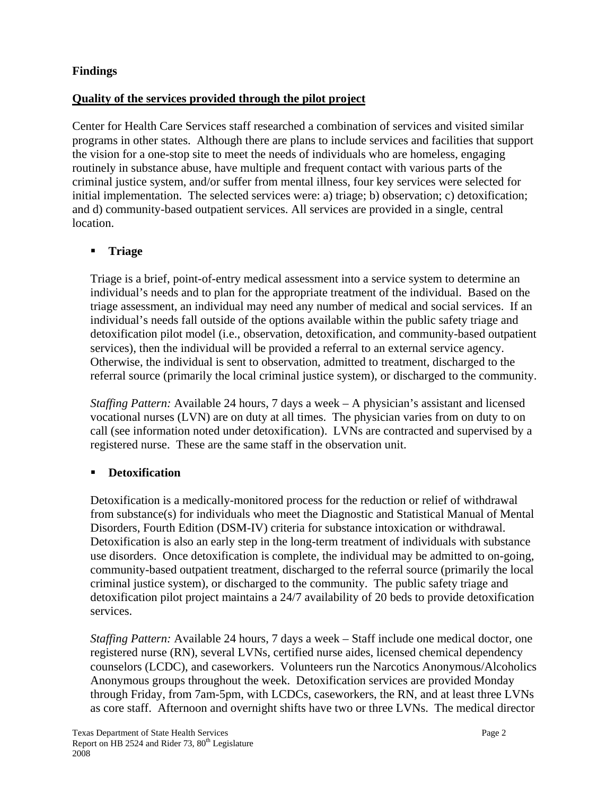# **Findings**

### **Quality of the services provided through the pilot project**

Center for Health Care Services staff researched a combination of services and visited similar programs in other states. Although there are plans to include services and facilities that support the vision for a one-stop site to meet the needs of individuals who are homeless, engaging routinely in substance abuse, have multiple and frequent contact with various parts of the criminal justice system, and/or suffer from mental illness, four key services were selected for initial implementation. The selected services were: a) triage; b) observation; c) detoxification; and d) community-based outpatient services. All services are provided in a single, central location.

# **Triage**

Triage is a brief, point-of-entry medical assessment into a service system to determine an individual's needs and to plan for the appropriate treatment of the individual. Based on the triage assessment, an individual may need any number of medical and social services. If an individual's needs fall outside of the options available within the public safety triage and detoxification pilot model (i.e., observation, detoxification, and community-based outpatient services), then the individual will be provided a referral to an external service agency. Otherwise, the individual is sent to observation, admitted to treatment, discharged to the referral source (primarily the local criminal justice system), or discharged to the community.

*Staffing Pattern:* Available 24 hours, 7 days a week – A physician's assistant and licensed vocational nurses (LVN) are on duty at all times. The physician varies from on duty to on call (see information noted under detoxification). LVNs are contracted and supervised by a registered nurse. These are the same staff in the observation unit.

### **Detoxification**

Detoxification is a medically-monitored process for the reduction or relief of withdrawal from substance(s) for individuals who meet the Diagnostic and Statistical Manual of Mental Disorders, Fourth Edition (DSM-IV) criteria for substance intoxication or withdrawal. Detoxification is also an early step in the long-term treatment of individuals with substance use disorders. Once detoxification is complete, the individual may be admitted to on-going, community-based outpatient treatment, discharged to the referral source (primarily the local criminal justice system), or discharged to the community. The public safety triage and detoxification pilot project maintains a 24/7 availability of 20 beds to provide detoxification services.

*Staffing Pattern:* Available 24 hours, 7 days a week – Staff include one medical doctor, one registered nurse (RN), several LVNs, certified nurse aides, licensed chemical dependency counselors (LCDC), and caseworkers. Volunteers run the Narcotics Anonymous/Alcoholics Anonymous groups throughout the week. Detoxification services are provided Monday through Friday, from 7am-5pm, with LCDCs, caseworkers, the RN, and at least three LVNs as core staff. Afternoon and overnight shifts have two or three LVNs. The medical director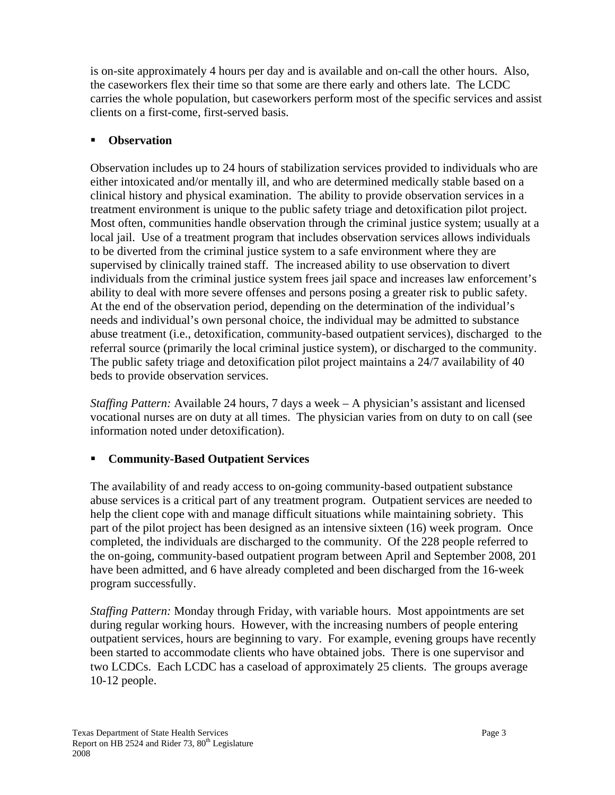is on-site approximately 4 hours per day and is available and on-call the other hours. Also, the caseworkers flex their time so that some are there early and others late. The LCDC carries the whole population, but caseworkers perform most of the specific services and assist clients on a first-come, first-served basis.

# **Observation**

Observation includes up to 24 hours of stabilization services provided to individuals who are either intoxicated and/or mentally ill, and who are determined medically stable based on a clinical history and physical examination. The ability to provide observation services in a treatment environment is unique to the public safety triage and detoxification pilot project. Most often, communities handle observation through the criminal justice system; usually at a local jail. Use of a treatment program that includes observation services allows individuals to be diverted from the criminal justice system to a safe environment where they are supervised by clinically trained staff. The increased ability to use observation to divert individuals from the criminal justice system frees jail space and increases law enforcement's ability to deal with more severe offenses and persons posing a greater risk to public safety. At the end of the observation period, depending on the determination of the individual's needs and individual's own personal choice, the individual may be admitted to substance abuse treatment (i.e., detoxification, community-based outpatient services), discharged to the referral source (primarily the local criminal justice system), or discharged to the community. The public safety triage and detoxification pilot project maintains a 24/7 availability of 40 beds to provide observation services.

*Staffing Pattern:* Available 24 hours, 7 days a week – A physician's assistant and licensed vocational nurses are on duty at all times. The physician varies from on duty to on call (see information noted under detoxification).

# **Community-Based Outpatient Services**

The availability of and ready access to on-going community-based outpatient substance abuse services is a critical part of any treatment program. Outpatient services are needed to help the client cope with and manage difficult situations while maintaining sobriety. This part of the pilot project has been designed as an intensive sixteen (16) week program. Once completed, the individuals are discharged to the community. Of the 228 people referred to the on-going, community-based outpatient program between April and September 2008, 201 have been admitted, and 6 have already completed and been discharged from the 16-week program successfully.

*Staffing Pattern:* Monday through Friday, with variable hours. Most appointments are set during regular working hours. However, with the increasing numbers of people entering outpatient services, hours are beginning to vary. For example, evening groups have recently been started to accommodate clients who have obtained jobs. There is one supervisor and two LCDCs. Each LCDC has a caseload of approximately 25 clients. The groups average 10-12 people.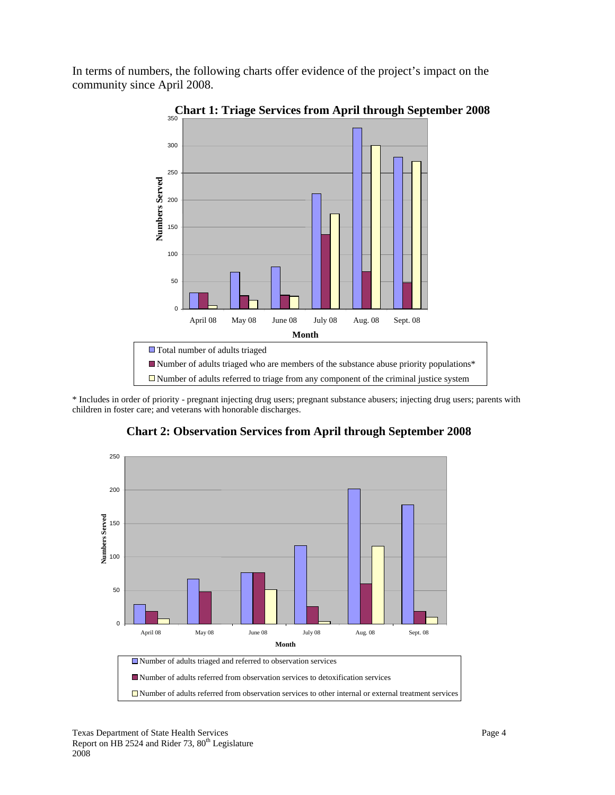In terms of numbers, the following charts offer evidence of the project's impact on the community since April 2008.



**Chart 1: Triage Services from April through September 2008** 

\* Includes in order of priority - pregnant injecting drug users; pregnant substance abusers; injecting drug users; parents with children in foster care; and veterans with honorable discharges.



**Chart 2: Observation Services from April through September 2008**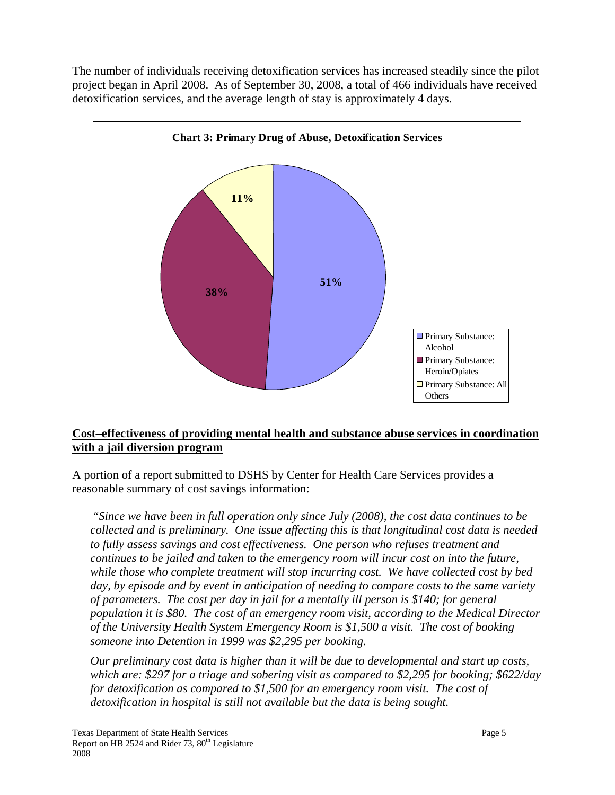The number of individuals receiving detoxification services has increased steadily since the pilot project began in April 2008. As of September 30, 2008, a total of 466 individuals have received detoxification services, and the average length of stay is approximately 4 days.



### **Cost–effectiveness of providing mental health and substance abuse services in coordination with a jail diversion program**

A portion of a report submitted to DSHS by Center for Health Care Services provides a reasonable summary of cost savings information:

 "*Since we have been in full operation only since July (2008), the cost data continues to be collected and is preliminary. One issue affecting this is that longitudinal cost data is needed to fully assess savings and cost effectiveness. One person who refuses treatment and continues to be jailed and taken to the emergency room will incur cost on into the future, while those who complete treatment will stop incurring cost. We have collected cost by bed day, by episode and by event in anticipation of needing to compare costs to the same variety of parameters. The cost per day in jail for a mentally ill person is \$140; for general population it is \$80. The cost of an emergency room visit, according to the Medical Director of the University Health System Emergency Room is \$1,500 a visit. The cost of booking someone into Detention in 1999 was \$2,295 per booking.* 

*Our preliminary cost data is higher than it will be due to developmental and start up costs, which are: \$297 for a triage and sobering visit as compared to \$2,295 for booking; \$622/day for detoxification as compared to \$1,500 for an emergency room visit. The cost of detoxification in hospital is still not available but the data is being sought.*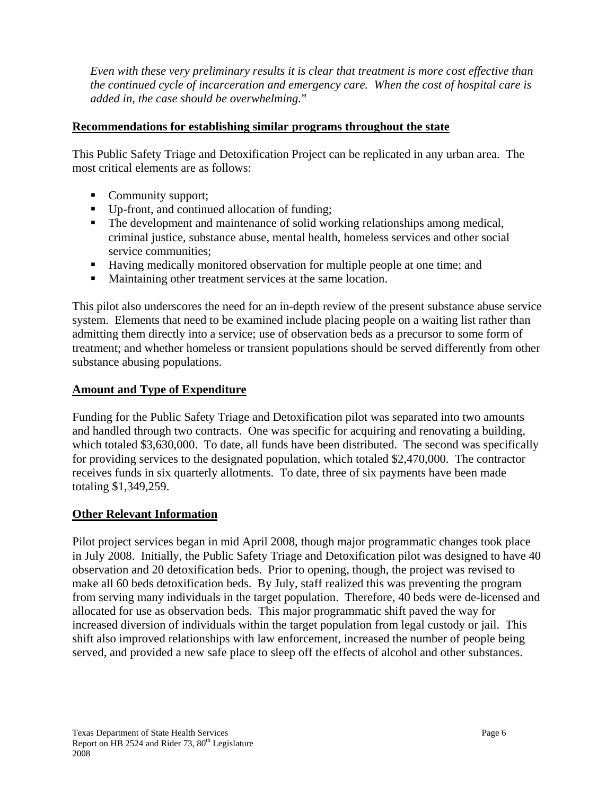*Even with these very preliminary results it is clear that treatment is more cost effective than the continued cycle of incarceration and emergency care. When the cost of hospital care is added in, the case should be overwhelming.*"

### **Recommendations for establishing similar programs throughout the state**

This Public Safety Triage and Detoxification Project can be replicated in any urban area. The most critical elements are as follows:

- Community support;
- Up-front, and continued allocation of funding;
- The development and maintenance of solid working relationships among medical, criminal justice, substance abuse, mental health, homeless services and other social service communities;
- Having medically monitored observation for multiple people at one time; and
- **Maintaining other treatment services at the same location.**

This pilot also underscores the need for an in-depth review of the present substance abuse service system. Elements that need to be examined include placing people on a waiting list rather than admitting them directly into a service; use of observation beds as a precursor to some form of treatment; and whether homeless or transient populations should be served differently from other substance abusing populations.

#### **Amount and Type of Expenditure**

Funding for the Public Safety Triage and Detoxification pilot was separated into two amounts and handled through two contracts. One was specific for acquiring and renovating a building, which totaled \$3,630,000. To date, all funds have been distributed. The second was specifically for providing services to the designated population, which totaled \$2,470,000. The contractor receives funds in six quarterly allotments. To date, three of six payments have been made totaling \$1,349,259.

### **Other Relevant Information**

Pilot project services began in mid April 2008, though major programmatic changes took place in July 2008. Initially, the Public Safety Triage and Detoxification pilot was designed to have 40 observation and 20 detoxification beds. Prior to opening, though, the project was revised to make all 60 beds detoxification beds. By July, staff realized this was preventing the program from serving many individuals in the target population. Therefore, 40 beds were de-licensed and allocated for use as observation beds. This major programmatic shift paved the way for increased diversion of individuals within the target population from legal custody or jail. This shift also improved relationships with law enforcement, increased the number of people being served, and provided a new safe place to sleep off the effects of alcohol and other substances.